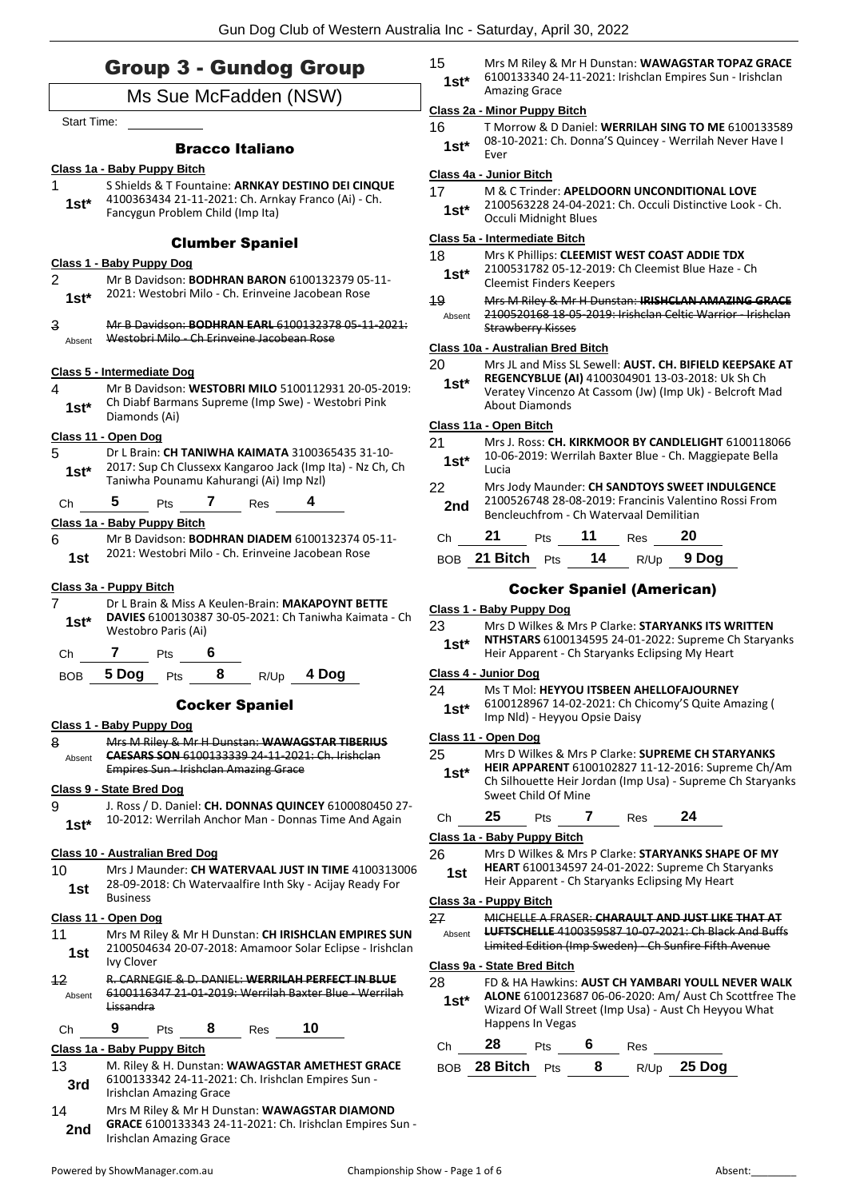# Group 3 - Gundog Group

# Ms Sue McFadden (NSW)

Start Time:

### Bracco Italiano

### **Class 1a - Baby Puppy Bitch**

1 S Shields & T Fountaine: **ARNKAY DESTINO DEI CINQUE** 4100363434 21-11-2021: Ch. Arnkay Franco (Ai) - Ch. Fancygun Problem Child (Imp Ita) **1st\***

#### Clumber Spaniel

#### **Class 1 - Baby Puppy Dog**

- 2 Mr B Davidson: **BODHRAN BARON** 6100132379 05-11- 2021: Westobri Milo - Ch. Erinveine Jacobean Rose **1st\***
- 3 Mr B Davidson: **BODHRAN EARL** 6100132378 05-11-2021: Absent Westobri Milo - Ch Erinveine Jacobean Rose

### **Class 5 - Intermediate Dog**

4 Mr B Davidson: **WESTOBRI MILO** 5100112931 20-05-2019: Ch Diabf Barmans Supreme (Imp Swe) - Westobri Pink **1st**\* Chicapt Barm<br>Diamonds (Ai)

#### **Class 11 - Open Dog**

- 5 Dr L Brain: **CH TANIWHA KAIMATA** 3100365435 31-10- 2017: Sup Ch Clussexx Kangaroo Jack (Imp Ita) - Nz Ch, Ch
- Taniwha Pounamu Kahurangi (Ai) Imp Nzl) **1st\***

### Ch **5** Pts **7** Res **4**

#### **Class 1a - Baby Puppy Bitch**

6 Mr B Davidson: **BODHRAN DIADEM** 6100132374 05-11- 2021: Westobri Milo - Ch. Erinveine Jacobean Rose **1st**

#### **Class 3a - Puppy Bitch**

7 Dr L Brain & Miss A Keulen-Brain: **MAKAPOYNT BETTE DAVIES** 6100130387 30-05-2021: Ch Taniwha Kaimata - Ch Westobro Paris (Ai) **1st\***

Ch **7** Pts **6**

BOB **5 Dog** Pts **8** R/Up **4 Dog**

### Cocker Spaniel

### **Class 1 - Baby Puppy Dog**

8 Mrs M Riley & Mr H Dunstan: **WAWAGSTAR TIBERIUS CAESARS SON** 6100133339 24-11-2021: Ch. Irishclan Empires Sun - Irishclan Amazing Grace Absent

#### **Class 9 - State Bred Dog**

9 J. Ross / D. Daniel: **CH. DONNAS QUINCEY** 6100080450 27- 10-2012: Werrilah Anchor Man - Donnas Time And Again **1st\***

### **Class 10 - Australian Bred Dog**

10 Mrs J Maunder: **CH WATERVAAL JUST IN TIME** 4100313006 28-09-2018: Ch Watervaalfire Inth Sky - Acijay Ready For 1st <sup>20-09-20</sup><br>Business

### **Class 11 - Open Dog**

- 11 Mrs M Riley & Mr H Dunstan: **CH IRISHCLAN EMPIRES SUN** 2100504634 20-07-2018: Amamoor Solar Eclipse - Irishclan Ivy Clover **1st**
- 12 R. CARNEGIE & D. DANIEL: **WERRILAH PERFECT IN BLUE** 6100116347 21-01-2019: Werrilah Baxter Blue - Werrilah Lissandra Absent

### Ch **9** Pts **8** Res **10**

### **Class 1a - Baby Puppy Bitch**

- 13 M. Riley & H. Dunstan: **WAWAGSTAR AMETHEST GRACE** 6100133342 24-11-2021: Ch. Irishclan Empires Sun - **3rd bluul33342 24-11-2021 3rd Irishclan Amazing Grace**
- 14 Mrs M Riley & Mr H Dunstan: **WAWAGSTAR DIAMOND GRACE** 6100133343 24-11-2021: Ch. Irishclan Empires Sun - **2nd CONSEGRACE DIVIDES 24-**<br>Irishclan Amazing Grace

15 Mrs M Riley & Mr H Dunstan: **WAWAGSTAR TOPAZ GRACE** 6100133340 24-11-2021: Irishclan Empires Sun - Irishclan Amazing Grace **1st\***

### **Class 2a - Minor Puppy Bitch**

16 T Morrow & D Daniel: **WERRILAH SING TO ME** 6100133589 08-10-2021: Ch. Donna'S Quincey - Werrilah Never Have I **1st**\* <sup>U8-1</sup><br>Ever

### **Class 4a - Junior Bitch**

- 17 M & C Trinder: **APELDOORN UNCONDITIONAL LOVE**
- 2100563228 24-04-2021: Ch. Occuli Distinctive Look Ch. 1st\* <u>LIUUSB3228</u> 24-04-20<br>Occuli Midnight Blues

#### **Class 5a - Intermediate Bitch**

- 18 Mrs K Phillips: **CLEEMIST WEST COAST ADDIE TDX**
	- 2100531782 05-12-2019: Ch Cleemist Blue Haze Ch 1st\* <sup>2100531782</sup>05-12-2019:<br>Cleemist Finders Keepers
- 19 Mrs M Riley & Mr H Dunstan: **IRISHCLAN AMAZING GRACE** 2100520168 18-05-2019: Irishclan Celtic Warrior - Irishclan Strawberry Kisses Absent

### **Class 10a - Australian Bred Bitch**

- 20 Mrs JL and Miss SL Sewell: **AUST. CH. BIFIELD KEEPSAKE AT** 
	- **REGENCYBLUE (AI)** 4100304901 13-03-2018: Uk Sh Ch Veratey Vincenzo At Cassom (Jw) (Imp Uk) - Belcroft Mad About Diamonds **1st\***

### **Class 11a - Open Bitch**

21 Mrs J. Ross: **CH. KIRKMOOR BY CANDLELIGHT** 6100118066 10-06-2019: Werrilah Baxter Blue - Ch. Maggiepate Bella **1st**  $\frac{10-06}{1}$ 22 Mrs Jody Maunder: **CH SANDTOYS SWEET INDULGENCE** 2100526748 28-08-2019: Francinis Valentino Rossi From **2nd** 2100526748 28-08-2019: Francinis valent<br>Bencleuchfrom - Ch Watervaal Demilitian

| Ch 21                       | <b>Pts</b> | $\overline{11}$ | Res | 20         |
|-----------------------------|------------|-----------------|-----|------------|
| BOB 21 Bitch <sub>Pts</sub> |            | 14              |     | R/Up 9 Dog |

## Cocker Spaniel (American)

### **Class 1 - Baby Puppy Dog**

- 23 Mrs D Wilkes & Mrs P Clarke: **STARYANKS ITS WRITTEN NTHSTARS** 6100134595 24-01-2022: Supreme Ch Staryanks
- Heir Apparent Ch Staryanks Eclipsing My Heart **1st\***

#### **Class 4 - Junior Dog**

### 24 Ms T Mol: **HEYYOU ITSBEEN AHELLOFAJOURNEY**

6100128967 14-02-2021: Ch Chicomy'S Quite Amazing ( Imp Nld) - Heyyou Opsie Daisy **1st\***

#### **Class 11 - Open Dog**

- 25 Mrs D Wilkes & Mrs P Clarke: **SUPREME CH STARYANKS**
- **HEIR APPARENT** 6100102827 11-12-2016: Supreme Ch/Am Ch Silhouette Heir Jordan (Imp Usa) - Supreme Ch Staryanks Sweet Child Of Mine **1st\***
- Ch **25** Pts **7** Res **24**

### **Class 1a - Baby Puppy Bitch**

- 26 Mrs D Wilkes & Mrs P Clarke: **STARYANKS SHAPE OF MY** 
	- **HEART** 6100134597 24-01-2022: Supreme Ch Staryanks
	- **1st HEART 6100134597 24-01-2022: Supreme Cn Start**<br>Heir Apparent Ch Staryanks Eclipsing My Heart

#### **Class 3a - Puppy Bitch**

27 MICHELLE A FRASER: **CHARAULT AND JUST LIKE THAT AT LUFTSCHELLE** 4100359587 10-07-2021: Ch Black And Buffs Limited Edition (Imp Sweden) - Ch Sunfire Fifth Avenue Absent

#### **Class 9a - State Bred Bitch**

- 28 FD & HA Hawkins: **AUST CH YAMBARI YOULL NEVER WALK**
- **ALONE** 6100123687 06-06-2020: Am/ Aust Ch Scottfree The Wizard Of Wall Street (Imp Usa) - Aust Ch Heyyou What Happens In Vegas **1st\***

| Ch | $28$ Pts               | 6 | Res |               |
|----|------------------------|---|-----|---------------|
|    | BOB $28$ Bitch $Pts$ 8 |   |     | $R/Up$ 25 Dog |

- 
-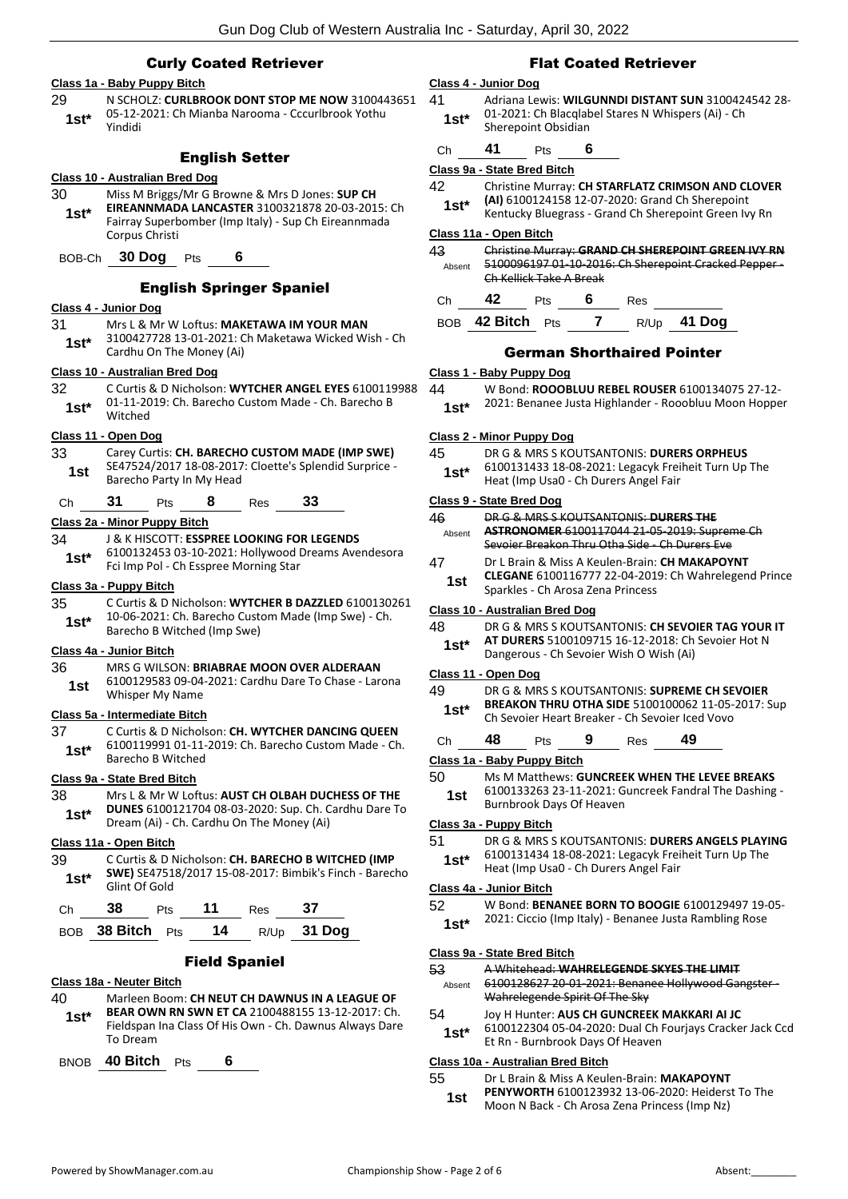### Curly Coated Retriever **Class 1a - Baby Puppy Bitch** 29 N SCHOLZ: **CURLBROOK DONT STOP ME NOW** 3100443651 05-12-2021: Ch Mianba Narooma - Cccurlbrook Yothu Yindidi **1st\*** English Setter **Class 10 - Australian Bred Dog** 30 Miss M Briggs/Mr G Browne & Mrs D Jones: **SUP CH EIREANNMADA LANCASTER** 3100321878 20-03-2015: Ch Fairray Superbomber (Imp Italy) - Sup Ch Eireannmada Corpus Christi **1st\*** BOB-Ch **30 Dog** Pts **6** English Springer Spaniel **Class 4 - Junior Dog** 31 Mrs L & Mr W Loftus: **MAKETAWA IM YOUR MAN** 3100427728 13-01-2021: Ch Maketawa Wicked Wish - Ch 1st<sup>\*</sup> 5100427728 13-01-2021: Q<br>Cardhu On The Money (Ai) **Class 10 - Australian Bred Dog** 32 C Curtis & D Nicholson: **WYTCHER ANGEL EYES** 6100119988 01-11-2019: Ch. Barecho Custom Made - Ch. Barecho B 1st<sup>\*</sup> U<sub>1-11-20</sub><br>Witched **Class 11 - Open Dog** 33 Carey Curtis: **CH. BARECHO CUSTOM MADE (IMP SWE)** SE47524/2017 18-08-2017: Cloette's Splendid Surprice - 1st DE4752472017 18-08-2017<br>Barecho Party In My Head Ch **31** Pts **8** Res **33 Class 2a - Minor Puppy Bitch** 34 J & K HISCOTT: **ESSPREE LOOKING FOR LEGENDS** 6100132453 03-10-2021: Hollywood Dreams Avendesora Fci Imp Pol - Ch Esspree Morning Star **1st\* Class 3a - Puppy Bitch** 35 C Curtis & D Nicholson: **WYTCHER B DAZZLED** 6100130261 10-06-2021: Ch. Barecho Custom Made (Imp Swe) - Ch. **1st**\* **10-00-2021:** Ch. Barecho Custe<br>Barecho B Witched (Imp Swe) **Class 4a - Junior Bitch** 36 MRS G WILSON: **BRIABRAE MOON OVER ALDERAAN** 6100129583 09-04-2021: Cardhu Dare To Chase - Larona Whisper My Name **1st Class 5a - Intermediate Bitch** 37 C Curtis & D Nicholson: **CH. WYTCHER DANCING QUEEN** 6100119991 01-11-2019: Ch. Barecho Custom Made - Ch. **1st**\* **DIUULLESE**<br>Barecho B Witched **Class 9a - State Bred Bitch** 38 Mrs L & Mr W Loftus: **AUST CH OLBAH DUCHESS OF THE DUNES** 6100121704 08-03-2020: Sup. Ch. Cardhu Dare To **1st\*** DUNES 6100121704 08-03-2020: Sup. Ch. Correlation Dream (Ai) - Ch. Cardhu On The Money (Ai) **Class 11a - Open Bitch** 39 C Curtis & D Nicholson: **CH. BARECHO B WITCHED (IMP SWE)** SE47518/2017 15-08-2017: Bimbik's Finch - Barecho 1st<sup>\*</sup> SWEJ SE4751<br>Glint Of Gold Ch **38** Pts **11** Res **37** BOB **38 Bitch** Pts **14** R/Up **31 Dog** Field Spaniel

#### **Class 18a - Neuter Bitch**

- 40 Marleen Boom: **CH NEUT CH DAWNUS IN A LEAGUE OF BEAR OWN RN SWN ET CA** 2100488155 13-12-2017: Ch.
- Fieldspan Ina Class Of His Own Ch. Dawnus Always Dare To Dream **1st\***

BNOB **40 Bitch** Pts **6**

### Flat Coated Retriever

#### **Class 4 - Junior Dog**

41 Adriana Lewis: **WILGUNNDI DISTANT SUN** 3100424542 28- 01-2021: Ch Blacqlabel Stares N Whispers (Ai) - Ch **1st**\* 01-2021: Ch Blacqian<br>Sherepoint Obsidian

## Ch **41** Pts **6**

#### **Class 9a - State Bred Bitch**

- 42 Christine Murray: **CH STARFLATZ CRIMSON AND CLOVER** 
	- **(AI)** 6100124158 12-07-2020: Grand Ch Sherepoint 1st\* (AI) 6100124158 12-07-2020: Grand Ch Sherepoint<br>Kentucky Bluegrass - Grand Ch Sherepoint Green Ivy Rn

### **Class 11a - Open Bitch**

| 43     | Christine Murray: GRAND CH SHEREPOINT GREEN IVY RN  |                         |  |     |  |
|--------|-----------------------------------------------------|-------------------------|--|-----|--|
| Absent | 5100096197 01 10 2016: Ch Sherepoint Cracked Pepper |                         |  |     |  |
|        |                                                     | Ch Kellick Take A Break |  |     |  |
|        | 42                                                  | Pts                     |  | Res |  |

| BOB 42 Bitch Pts | $R/Up$ 41 Dog |  |
|------------------|---------------|--|
|------------------|---------------|--|

### German Shorthaired Pointer

### **Class 1 - Baby Puppy Dog**

- 44 W Bond: **ROOOBLUU REBEL ROUSER** 6100134075 27-12-
	- 2021: Benanee Justa Highlander Rooobluu Moon Hopper **1st\***

#### **Class 2 - Minor Puppy Dog**

- 45 DR G & MRS S KOUTSANTONIS: **DURERS ORPHEUS** 6100131433 18-08-2021: Legacyk Freiheit Turn Up The
- 1st\* b100131433 18-08-2021: Legacyk Frei<br>Heat (Imp Usa0 Ch Durers Angel Fair

### **Class 9 - State Bred Dog**

| 46     | DR G & MRS S KOUTSANTONIS: DURERS THE          |
|--------|------------------------------------------------|
| Ahsent | ASTRONOMER 6100117044 21 05 2019: Supreme Ch   |
|        | Sevoier Breakon Thru Otha Side - Ch Durers Eve |

- 47 Dr L Brain & Miss A Keulen-Brain: **CH MAKAPOYNT** 
	- **CLEGANE** 6100116777 22-04-2019: Ch Wahrelegend Prince **1st CLEGANE 6100116777 22-04-2019**<br>Sparkles - Ch Arosa Zena Princess

#### **Class 10 - Australian Bred Dog**

48 DR G & MRS S KOUTSANTONIS: **CH SEVOIER TAG YOUR IT AT DURERS** 5100109715 16-12-2018: Ch Sevoier Hot N **1st\*** AI DURERS 5100109715 16-12-2018: Ch<br>Dangerous - Ch Sevoier Wish O Wish (Ai)

#### **Class 11 - Open Dog**

- 49 DR G & MRS S KOUTSANTONIS: **SUPREME CH SEVOIER BREAKON THRU OTHA SIDE** 5100100062 11-05-2017: Sup **1st\*** BREAKON THRU OTHA SIDE 5100100062 11-05-<br>Ch Sevoier Heart Breaker - Ch Sevoier Iced Vovo
- Ch **48** Pts **9** Res **49**

### **Class 1a - Baby Puppy Bitch**

- 50 Ms M Matthews: **GUNCREEK WHEN THE LEVEE BREAKS**
	- 6100133263 23-11-2021: Guncreek Fandral The Dashing Burnbrook Days Of Heaven **1st**

#### **Class 3a - Puppy Bitch**

## 51 DR G & MRS S KOUTSANTONIS: **DURERS ANGELS PLAYING**

6100131434 18-08-2021: Legacyk Freiheit Turn Up The **1st** b100131434 18-08-2021: Legacyk Frei<br>Heat (Imp Usa0 - Ch Durers Angel Fair

### **Class 4a - Junior Bitch**

- 52 W Bond: **BENANEE BORN TO BOOGIE** 6100129497 19-05-
	- 1st\* 2021: Ciccio (Imp Italy) Benanee Justa Rambling Rose

#### **Class 9a - State Bred Bitch**

53 A Whitehead: **WAHRELEGENDE SKYES THE LIMIT** 6100128627 20-01-2021: Benanee Hollywood Gangster - Absent

Wahrelegende Spirit Of The Sky

### 54 Joy H Hunter: **AUS CH GUNCREEK MAKKARI AI JC**

6100122304 05-04-2020: Dual Ch Fourjays Cracker Jack Ccd Et Rn - Burnbrook Days Of Heaven **1st\***

### **Class 10a - Australian Bred Bitch**

55 Dr L Brain & Miss A Keulen-Brain: **MAKAPOYNT** 

- **PENYWORTH** 6100123932 13-06-2020: Heiderst To The Moon N Back - Ch Arosa Zena Princess (Imp Nz) **1st**
	-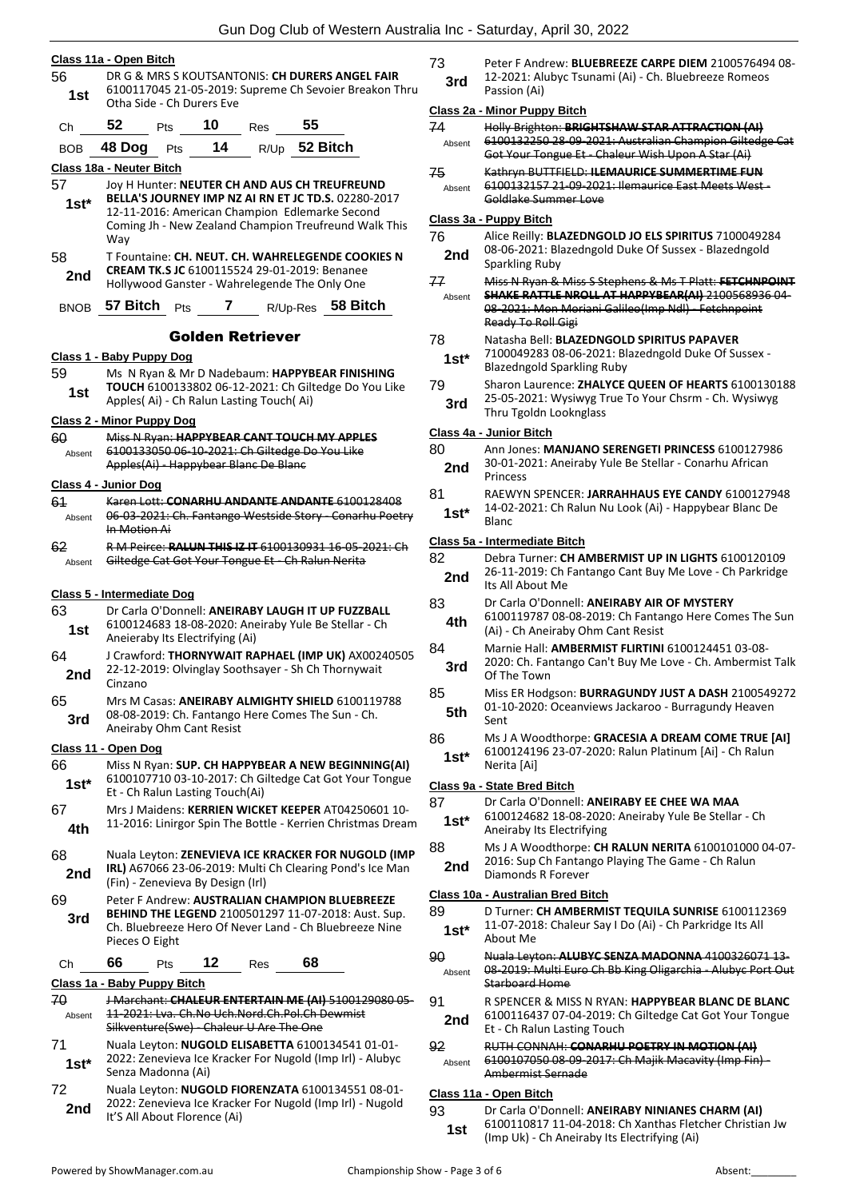#### **Class 11a - Open Bitch**

- 56 DR G & MRS S KOUTSANTONIS: **CH DURERS ANGEL FAIR** 6100117045 21-05-2019: Supreme Ch Sevoier Breakon Thru **1st 1000117043** 21-03-2019.<br>Otha Side - Ch Durers Eve
- Ch **52** Pts **10** Res **55**

|  | BOB 48 Dog Pts |  | 14 |  | $R/Up$ 52 Bitch |
|--|----------------|--|----|--|-----------------|
|--|----------------|--|----|--|-----------------|

**Class 18a - Neuter Bitch**

- 57 Joy H Hunter: **NEUTER CH AND AUS CH TREUFREUND BELLA'S JOURNEY IMP NZ AI RN ET JC TD.S.** 02280-2017 12-11-2016: American Champion Edlemarke Second Coming Jh - New Zealand Champion Treufreund Walk This Way **1st\***
- 58 T Fountaine: **CH. NEUT. CH. WAHRELEGENDE COOKIES N CREAM TK.S JC** 6100115524 29-01-2019: Benanee **2nd** CREAM TK.S JC 6100115524 29-01-2019: Benanee<br>Hollywood Ganster - Wahrelegende The Only One
- BNOB **57 Bitch** Pts **7** R/Up-Res **58 Bitch**

#### Golden Retriever

#### **Class 1 - Baby Puppy Dog**

59 Ms N Ryan & Mr D Nadebaum: **HAPPYBEAR FINISHING TOUCH** 6100133802 06-12-2021: Ch Giltedge Do You Like **1st IOUCH** 6100133802 06-12-2021: Ch Gilt<br>Apples( Ai) - Ch Ralun Lasting Touch( Ai)

#### **Class 2 - Minor Puppy Dog**

| 60                          | Miss N Ryan: HAPPYBEAR CANT TOUCH MY APPLES<br>6100133050 06-10-2021: Ch Giltedge Do You Like |  |  |  |
|-----------------------------|-----------------------------------------------------------------------------------------------|--|--|--|
| Absent                      | Apples(Ai) - Happybear Blanc De Blanc                                                         |  |  |  |
| <b>Class 4 - Junior Dog</b> |                                                                                               |  |  |  |

- 61 Karen Lott: **CONARHU ANDANTE ANDANTE** 6100128408 06-03-2021: Ch. Fantango Westside Story - Conarhu Poetry In Motion Ai Absent
- 62 R M Peirce: **RALUN THIS IZ IT** 6100130931 16-05-2021: Ch Absent Giltedge Cat Got Your Tongue Et Ch Ralun Nerita

#### **Class 5 - Intermediate Dog**

| 63<br>1st                   | Dr Carla O'Donnell: ANEIRABY LAUGH IT UP FUZZBALL<br>6100124683 18-08-2020: Aneiraby Yule Be Stellar - Ch<br>Aneieraby Its Electrifying (Ai)                                      |                    |                                 |     |                                                                                                                   |                                                                                                                    |
|-----------------------------|-----------------------------------------------------------------------------------------------------------------------------------------------------------------------------------|--------------------|---------------------------------|-----|-------------------------------------------------------------------------------------------------------------------|--------------------------------------------------------------------------------------------------------------------|
| 64<br>2nd                   | J Crawford: THORNYWAIT RAPHAEL (IMP UK) AX00240505<br>22-12-2019: Olvinglay Soothsayer - Sh Ch Thornywait<br>Cinzano                                                              |                    |                                 |     |                                                                                                                   |                                                                                                                    |
| 65<br>3rd                   |                                                                                                                                                                                   |                    | Aneiraby Ohm Cant Resist        |     | Mrs M Casas: ANEIRABY ALMIGHTY SHIELD 6100119788<br>08-08-2019: Ch. Fantango Here Comes The Sun - Ch.             |                                                                                                                    |
| Class 11 - Open Dog         |                                                                                                                                                                                   |                    |                                 |     |                                                                                                                   |                                                                                                                    |
| 66<br>$1st*$                |                                                                                                                                                                                   |                    | Et - Ch Ralun Lasting Touch(Ai) |     |                                                                                                                   | Miss N Ryan: SUP. CH HAPPYBEAR A NEW BEGINNING(AI)<br>6100107710 03-10-2017: Ch Giltedge Cat Got Your Tongue       |
| 67<br>4th                   |                                                                                                                                                                                   |                    |                                 |     |                                                                                                                   | Mrs J Maidens: KERRIEN WICKET KEEPER AT04250601 10-<br>11-2016: Linirgor Spin The Bottle - Kerrien Christmas Dream |
| 68<br>2nd                   | Nuala Leyton: ZENEVIEVA ICE KRACKER FOR NUGOLD (IMP<br>IRL) A67066 23-06-2019: Multi Ch Clearing Pond's Ice Man<br>(Fin) - Zenevieva By Design (Irl)                              |                    |                                 |     |                                                                                                                   |                                                                                                                    |
| 69<br>3rd                   | Peter F Andrew: AUSTRALIAN CHAMPION BLUEBREEZE<br>BEHIND THE LEGEND 2100501297 11-07-2018: Aust. Sup.<br>Ch. Bluebreeze Hero Of Never Land - Ch Bluebreeze Nine<br>Pieces O Eight |                    |                                 |     |                                                                                                                   |                                                                                                                    |
| Ch                          | 66                                                                                                                                                                                | Pts                | 12                              | Res | 68                                                                                                                |                                                                                                                    |
| Class 1a - Baby Puppy Bitch |                                                                                                                                                                                   |                    |                                 |     |                                                                                                                   |                                                                                                                    |
| 70<br>Absent                | J Marchant: CHALEUR ENTERTAIN ME (AI) 5100129080 05<br>11-2021: Lya. Ch.No Uch.Nord.Ch.Pol.Ch Dewmist<br>Silkventure(Swe) - Chaleur U Are The One                                 |                    |                                 |     |                                                                                                                   |                                                                                                                    |
| 71<br>$1st^*$               |                                                                                                                                                                                   | Senza Madonna (Ai) |                                 |     | Nuala Leyton: NUGOLD ELISABETTA 6100134541 01-01-<br>2022: Zenevieva Ice Kracker For Nugold (Imp Irl) - Alubyc    |                                                                                                                    |
| 72                          |                                                                                                                                                                                   |                    |                                 |     | Nuala Leyton: NUGOLD FIORENZATA 6100134551 08-01-<br>0000 . Zanaviava Jee Kussleen Ean Numald (luss Jul) - Numald |                                                                                                                    |

2022: Zenevieva Ice Kracker For Nugold (Imp Irl) - Nugold **2nd** *2022*. Zellevieva ice Kracker<br>It'S All About Florence (Ai)

73 Peter F Andrew: **BLUEBREEZE CARPE DIEM** 2100576494 08- 12-2021: Alubyc Tsunami (Ai) - Ch. Bluebreeze Romeos **3rd 12-2021: All <b>Passion** (Ai)

#### **Class 2a - Minor Puppy Bitch**

| 74     | Holly Brighton: BRIGHTSHAW STAR ATTRACTION (AI)         |
|--------|---------------------------------------------------------|
| Absent | 6100132250 28-09-2021: Australian Champion Giltedge Cat |
|        | Got Your Tongue Et - Chaleur Wish Upon A Star (Ai)      |
| ⇁      | Vathers DUTTELELD, U FRAAUDICE CURANAEDTINAE FUND       |

75 Kathryn BUTTFIELD: **ILEMAURICE SUMMERTIME FUN** 6100132157 21-09-2021: Ilemaurice East Meets West - Goldlake Summer Love Absent

#### **Class 3a - Puppy Bitch**

- 76 Alice Reilly: **BLAZEDNGOLD JO ELS SPIRITUS** 7100049284 08-06-2021: Blazedngold Duke Of Sussex - Blazedngold **2nd** U<sub>8</sub>-U<sub>8</sub>-2021: BI<sub>Sparkling Ruby</sub>
- 77 Miss N Ryan & Miss S Stephens & Ms T Platt: **FETCHNPOINT SHAKE RATTLE NROLL AT HAPPYBEAR(AI)** 2100568936 04- Absent
- 08-2021: Mon Moriani Galileo(Imp Ndl) Fetchnpoint Ready To Roll Gigi

#### 78 Natasha Bell: **BLAZEDNGOLD SPIRITUS PAPAVER**

- 7100049283 08-06-2021: Blazedngold Duke Of Sussex 1st\* 7100049283 08-06-2021: Blazedngold Sparkling Ruby
- 79 Sharon Laurence: **ZHALYCE QUEEN OF HEARTS** 6100130188
- 25-05-2021: Wysiwyg True To Your Chsrm Ch. Wysiwyg **3rd** <sup>25-05-2021: wysiwyg in<br>Thru Tgoldn Looknglass</sup>

### **Class 4a - Junior Bitch**

#### 80 Ann Jones: **MANJANO SERENGETI PRINCESS** 6100127986 30-01-2021: Aneiraby Yule Be Stellar - Conarhu African **2nd** <sup>30-01-20</sup><br>Princess

81 RAEWYN SPENCER: **JARRAHHAUS EYE CANDY** 6100127948 14-02-2021: Ch Ralun Nu Look (Ai) - Happybear Blanc De Blanc **1st\***

#### **Class 5a - Intermediate Bitch**

| 82  | Debra Turner: CH AMBERMIST UP IN LIGHTS 6100120109      |
|-----|---------------------------------------------------------|
| 2nd | 26-11-2019: Ch Fantango Cant Buy Me Love - Ch Parkridge |
|     | Its All About Me                                        |

- 83 Dr Carla O'Donnell: **ANEIRABY AIR OF MYSTERY**
- 6100119787 08-08-2019: Ch Fantango Here Comes The Sun **4th**  $\frac{610011978768-2019}{(Ai) - Ch Aneiraby Ohm Cant Resist}$
- 84 Marnie Hall: **AMBERMIST FLIRTINI** 6100124451 03-08- 2020: Ch. Fantango Can't Buy Me Love - Ch. Ambermist Talk **3rd** <sup>2020</sup>: Ch. Far
- 85 Miss ER Hodgson: **BURRAGUNDY JUST A DASH** 2100549272 01-10-2020: Oceanviews Jackaroo - Burragundy Heaven  $5th$   $\frac{01-11}{5}$
- 86 Ms J A Woodthorpe: **GRACESIA A DREAM COME TRUE [AI]**
- 6100124196 23-07-2020: Ralun Platinum [Ai] Ch Ralun Nerita [Ai] **1st\***

#### **Class 9a - State Bred Bitch**

- 87 Dr Carla O'Donnell: **ANEIRABY EE CHEE WA MAA**
- 6100124682 18-08-2020: Aneiraby Yule Be Stellar Ch Aneiraby Its Electrifying **1st\***
- 88 Ms J A Woodthorpe: **CH RALUN NERITA** 6100101000 04-07- 2016: Sup Ch Fantango Playing The Game - Ch Ralun **2nd** <sup>2016</sup> Diamonds R Forever

### **Class 10a - Australian Bred Bitch**

- 89 D Turner: **CH AMBERMIST TEQUILA SUNRISE** 6100112369 11-07-2018: Chaleur Say I Do (Ai) - Ch Parkridge Its All **1st**\*  $\frac{11-07-201}{\text{About Me}}$
- 90 Nuala Leyton: **ALUBYC SENZA MADONNA** 4100326071 13-
- 08-2019: Multi Euro Ch Bb King Oligarchia Alubyc Port Out Starboard Home Absent
- 91 R SPENCER & MISS N RYAN: **HAPPYBEAR BLANC DE BLANC** 6100116437 07-04-2019: Ch Giltedge Cat Got Your Tongue **2nd b100116437 07-04-2019: C**<br>Et - Ch Ralun Lasting Touch
- 92 RUTH CONNAH: **CONARHU POETRY IN MOTION (AI)** 6100107050 08-09-2017: Ch Majik Macavity (Imp Fin) - Ambermist Sernade Absent

### **Class 11a - Open Bitch**

- 93 Dr Carla O'Donnell: **ANEIRABY NINIANES CHARM (AI)**
- 6100110817 11-04-2018: Ch Xanthas Fletcher Christian Jw **1st 18t 1990** (Imp Uk) - Ch Aneiraby Its Electrifying (Ai)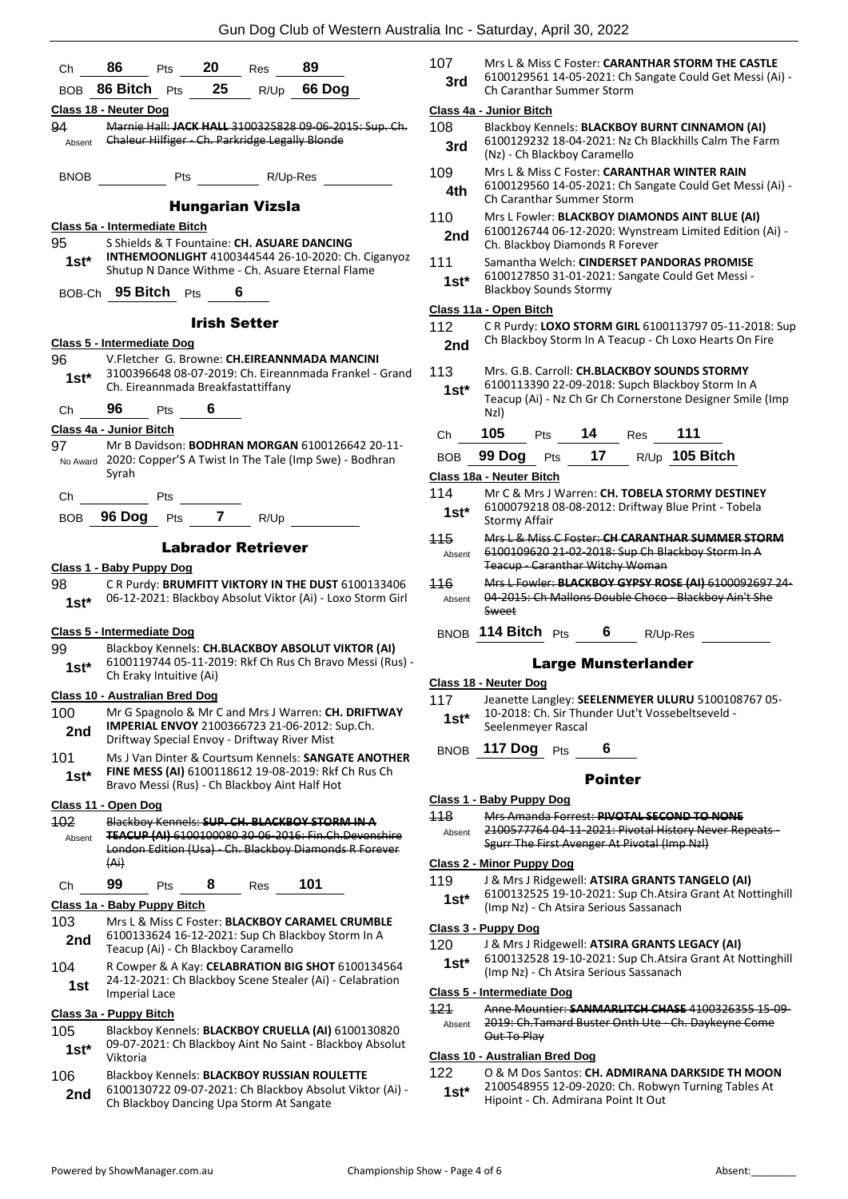| Ch              | 86<br>20<br>89<br>Pts<br>Res                                                                                    | 107           | Mrs L & Miss C Foster: CARANTHAR STORM THE CASTLE                                                                                                            |
|-----------------|-----------------------------------------------------------------------------------------------------------------|---------------|--------------------------------------------------------------------------------------------------------------------------------------------------------------|
|                 | BOB 86 Bitch Pts 25<br>R/Up 66 Dog                                                                              | 3rd           | 6100129561 14-05-2021: Ch Sangate Could Get Messi (A<br>Ch Caranthar Summer Storm                                                                            |
|                 | Class 18 - Neuter Dog                                                                                           |               | Class 4a - Junior Bitch                                                                                                                                      |
| 94              | Marnie Hall: JACK HALL 3100325828 09-06-2015: Sup. Ch.                                                          | 108           | Blackboy Kennels: BLACKBOY BURNT CINNAMON (AI)                                                                                                               |
|                 | Absent Chaleur Hilfiger Ch. Parkridge Legally Blonde                                                            | 3rd           | 6100129232 18-04-2021: Nz Ch Blackhills Calm The Farm<br>(Nz) - Ch Blackboy Caramello                                                                        |
| <b>BNOB</b>     | R/Up-Res                                                                                                        | 109<br>4th    | Mrs L & Miss C Foster: CARANTHAR WINTER RAIN<br>6100129560 14-05-2021: Ch Sangate Could Get Messi (A                                                         |
|                 | <b>Hungarian Vizsla</b>                                                                                         |               | Ch Caranthar Summer Storm                                                                                                                                    |
|                 | Class 5a - Intermediate Bitch                                                                                   | 110           | Mrs L Fowler: BLACKBOY DIAMONDS AINT BLUE (AI)<br>6100126744 06-12-2020: Wynstream Limited Edition (Ai)                                                      |
| 95              | S Shields & T Fountaine: CH. ASUARE DANCING                                                                     | 2nd           | Ch. Blackboy Diamonds R Forever                                                                                                                              |
| $1st*$          | INTHEMOONLIGHT 4100344544 26-10-2020: Ch. Ciganyoz<br>Shutup N Dance Withme - Ch. Asuare Eternal Flame          | 111<br>$1st*$ | Samantha Welch: CINDERSET PANDORAS PROMISE<br>6100127850 31-01-2021: Sangate Could Get Messi -                                                               |
|                 | BOB-Ch 95 Bitch Pts 6                                                                                           |               | <b>Blackboy Sounds Stormy</b>                                                                                                                                |
|                 |                                                                                                                 |               | Class 11a - Open Bitch                                                                                                                                       |
|                 | <b>Irish Setter</b>                                                                                             | 112           | C R Purdy: LOXO STORM GIRL 6100113797 05-11-2018:                                                                                                            |
|                 | Class 5 - Intermediate Dog                                                                                      | 2nd           | Ch Blackboy Storm In A Teacup - Ch Loxo Hearts On Fire                                                                                                       |
| 96              | V.Fletcher G. Browne: CH.EIREANNMADA MANCINI                                                                    |               |                                                                                                                                                              |
| $1st*$          | 3100396648 08-07-2019: Ch. Eireannmada Frankel - Grand<br>Ch. Eireannmada Breakfastattiffany                    | 113<br>$1st*$ | Mrs. G.B. Carroll: CH.BLACKBOY SOUNDS STORMY<br>6100113390 22-09-2018: Supch Blackboy Storm In A<br>Teacup (Ai) - Nz Ch Gr Ch Cornerstone Designer Smile (In |
| Ch              | 96<br>Pts $6$                                                                                                   |               | NzI)                                                                                                                                                         |
|                 | Class 4a - Junior Bitch                                                                                         | Ch            | 14 Res<br>105<br>111<br>Pts                                                                                                                                  |
| 97              | Mr B Davidson: <b>BODHRAN MORGAN</b> 6100126642 20-11-                                                          |               |                                                                                                                                                              |
|                 | No Award 2020: Copper'S A Twist In The Tale (Imp Swe) - Bodhran                                                 | <b>BOB</b>    | 99 Dog Pts 17 R/Up 105 Bitch                                                                                                                                 |
|                 | Syrah                                                                                                           |               | Class 18a - Neuter Bitch                                                                                                                                     |
| Ch              | Pts                                                                                                             | 114           | Mr C & Mrs J Warren: CH. TOBELA STORMY DESTINEY<br>6100079218 08-08-2012: Driftway Blue Print - Tobela                                                       |
|                 | BOB 96 Dog Pts 7<br>R/Up                                                                                        | $1st*$        | <b>Stormy Affair</b>                                                                                                                                         |
|                 |                                                                                                                 | 115           | Mrs L & Miss C Foster: CH CARANTHAR SUMMER STORN                                                                                                             |
|                 | <b>Labrador Retriever</b>                                                                                       | Absent        | 6100109620 21-02-2018: Sup Ch Blackboy Storm In A                                                                                                            |
|                 | Class 1 - Baby Puppy Dog                                                                                        |               | Teacup - Caranthar Witchy Woman                                                                                                                              |
| 98<br>$1st*$    | CR Purdy: BRUMFITT VIKTORY IN THE DUST 6100133406<br>06-12-2021: Blackboy Absolut Viktor (Ai) - Loxo Storm Girl | 116<br>Absent | Mrs L Fowler: BLACKBOY GYPSY ROSE (AI) 61000926972<br>04-2015: Ch Mallons Double Choco - Blackboy Ain't She<br>Sweet                                         |
|                 | Class 5 - Intermediate Dog                                                                                      |               | BNOB 114 Bitch Pts 6 R/Up-Res                                                                                                                                |
| 99              | Blackboy Kennels: CH.BLACKBOY ABSOLUT VIKTOR (AI)                                                               |               |                                                                                                                                                              |
| $1st*$          | 6100119744 05-11-2019: Rkf Ch Rus Ch Bravo Messi (Rus) -<br>Ch Eraky Intuitive (Ai)                             |               | <b>Large Munsterlander</b><br><u>Class 18 - Neuter Dog</u>                                                                                                   |
|                 | <b>Class 10 - Australian Bred Dog</b>                                                                           | 117           | Jeanette Langley: SEELENMEYER ULURU 5100108767 05                                                                                                            |
| 100<br>2nd      | Mr G Spagnolo & Mr C and Mrs J Warren: CH. DRIFTWAY<br>IMPERIAL ENVOY 2100366723 21-06-2012: Sup.Ch.            | $1st*$        | 10-2018: Ch. Sir Thunder Uut't Vossebeltseveld -<br>Seelenmeyer Rascal                                                                                       |
| 101             | Driftway Special Envoy - Driftway River Mist<br>Ms J Van Dinter & Courtsum Kennels: SANGATE ANOTHER             |               | BNOB 117 Dog Pts<br>6                                                                                                                                        |
| $1st*$          | FINE MESS (AI) 6100118612 19-08-2019: Rkf Ch Rus Ch                                                             |               | <b>Pointer</b>                                                                                                                                               |
|                 | Bravo Messi (Rus) - Ch Blackboy Aint Half Hot                                                                   |               | Class 1 - Baby Puppy Dog                                                                                                                                     |
|                 | Class 11 - Open Dog                                                                                             | 118           | Mrs Amanda Forrest: PIVOTAL SECOND TO NONE                                                                                                                   |
| 102<br>Absent   | Blackboy Kennels: SUP. CH. BLACKBOY STORM IN A<br><b>TEACUP (AI) 6100100080 30-06-2016: Fin.Ch.Devonshire</b>   | Absent        | 2100577764 04-11-2021: Pivotal History Never Repeats -<br>Sgurr The First Avenger At Pivotal (Imp NzI)                                                       |
|                 | London Edition (Usa) Ch. Blackboy Diamonds R Forever<br>(A)                                                     |               | <b>Class 2 - Minor Puppy Dog</b>                                                                                                                             |
|                 |                                                                                                                 | 119           | J & Mrs J Ridgewell: ATSIRA GRANTS TANGELO (AI)                                                                                                              |
| Ch              | 99<br>101<br>8<br>Pts<br>Res<br>Class 1a - Baby Puppy Bitch                                                     | $1st*$        | 6100132525 19-10-2021: Sup Ch.Atsira Grant At Notting<br>(Imp Nz) - Ch Atsira Serious Sassanach                                                              |
| 103             | Mrs L & Miss C Foster: BLACKBOY CARAMEL CRUMBLE                                                                 |               | Class 3 - Puppy Dog                                                                                                                                          |
| 2nd             | 6100133624 16-12-2021: Sup Ch Blackboy Storm In A<br>Teacup (Ai) - Ch Blackboy Caramello                        | 120           | J & Mrs J Ridgewell: ATSIRA GRANTS LEGACY (AI)                                                                                                               |
| 104<br>1st      | R Cowper & A Kay: CELABRATION BIG SHOT 6100134564<br>24-12-2021: Ch Blackboy Scene Stealer (Ai) - Celabration   | $1st*$        | 6100132528 19-10-2021: Sup Ch.Atsira Grant At Notting<br>(Imp Nz) - Ch Atsira Serious Sassanach                                                              |
|                 | <b>Imperial Lace</b>                                                                                            |               | Class 5 - Intermediate Dog                                                                                                                                   |
|                 | Class 3a - Puppy Bitch                                                                                          | 121           | Anne Mountier: SANMARLITCH CHASE 4100326355 15-0                                                                                                             |
| 105<br>$1st*$   | Blackboy Kennels: BLACKBOY CRUELLA (AI) 6100130820<br>09-07-2021: Ch Blackboy Aint No Saint - Blackboy Absolut  | Absent        | 2019: Ch.Tamard Buster Onth Ute - Ch. Daykeyne Come<br>Out To Play                                                                                           |
|                 | Viktoria                                                                                                        |               | Class 10 - Australian Bred Dog                                                                                                                               |
| 10 <sub>6</sub> | <b>Riackboy Kennels: BLACKROV RUSSIAN ROULETTE</b>                                                              | 122           | O & M Dos Santos: CH. ADMIRANA DARKSIDE TH MOON                                                                                                              |

106 Blackboy Kennels: **BLACKBOY RUSSIAN ROULETTE** 6100130722 09-07-2021: Ch Blackboy Absolut Viktor (Ai) - **2nd** b100130722 09-07-2021: Ch Blackboy Dancing Upa Storm At Sangate

| 3rd            | 6100129561 14-05-2021: Ch Sangate Could Get Messi (Ai) -<br>Ch Caranthar Summer Storm                                                                                 |  |  |  |
|----------------|-----------------------------------------------------------------------------------------------------------------------------------------------------------------------|--|--|--|
|                | Class 4a - Junior Bitch                                                                                                                                               |  |  |  |
| 108<br>3rd     | Blackboy Kennels: BLACKBOY BURNT CINNAMON (AI)<br>6100129232 18-04-2021: Nz Ch Blackhills Calm The Farm<br>(Nz) - Ch Blackboy Caramello                               |  |  |  |
| 109<br>4th     | Mrs L & Miss C Foster: CARANTHAR WINTER RAIN<br>6100129560 14-05-2021: Ch Sangate Could Get Messi (Ai) -<br>Ch Caranthar Summer Storm                                 |  |  |  |
| 110<br>2nd     | Mrs L Fowler: BLACKBOY DIAMONDS AINT BLUE (AI)<br>6100126744 06-12-2020: Wynstream Limited Edition (Ai) -<br>Ch. Blackboy Diamonds R Forever                          |  |  |  |
| 111<br>$1st^*$ | Samantha Welch: CINDERSET PANDORAS PROMISE<br>6100127850 31-01-2021: Sangate Could Get Messi -<br><b>Blackboy Sounds Stormy</b>                                       |  |  |  |
|                | Class 11a - Open Bitch                                                                                                                                                |  |  |  |
| 112            | CR Purdy: LOXO STORM GIRL 6100113797 05-11-2018: Sup                                                                                                                  |  |  |  |
| 2nd            | Ch Blackboy Storm In A Teacup - Ch Loxo Hearts On Fire                                                                                                                |  |  |  |
| 113<br>$1st*$  | Mrs. G.B. Carroll: CH.BLACKBOY SOUNDS STORMY<br>6100113390 22-09-2018: Supch Blackboy Storm In A<br>Teacup (Ai) - Nz Ch Gr Ch Cornerstone Designer Smile (Imp<br>NzI) |  |  |  |
| Сh             | 105<br>14<br>111<br>Pts<br><b>Res</b>                                                                                                                                 |  |  |  |
| <b>BOB</b>     | R/Up 105 Bitch<br>17<br>99 Dog<br>Pts                                                                                                                                 |  |  |  |
|                | Class 18a - Neuter Bitch                                                                                                                                              |  |  |  |
| 114            | Mr C & Mrs J Warren: CH. TOBELA STORMY DESTINEY                                                                                                                       |  |  |  |
| $1st^*$        | 6100079218 08-08-2012: Driftway Blue Print - Tobela<br>Stormy Affair                                                                                                  |  |  |  |
| 115<br>Absent  | Mrs L & Miss C Foster: CH CARANTHAR SUMMER STORM<br>6100109620 21-02-2018: Sup Ch Blackboy Storm In A<br><b>Teacup - Caranthar Witchy Woman</b>                       |  |  |  |
| 116<br>Absent  | Mrs L Fowler: BLACKBOY GYPSY ROSE (AI) 6100092697 24-<br>04-2015: Ch Mallons Double Choco - Blackboy Ain't She<br>Sweet                                               |  |  |  |

### Large Munsterlander

#### **Class 18 - Neuter Dog**

### Pointer

#### **Class 1 - Baby Puppy Dog**

#### **Class 2 - Minor Puppy Dog**

### **Class 3 - Puppy Dog**

- 120 J & Mrs J Ridgewell: **ATSIRA GRANTS LEGACY (AI)**
- 6100132528 19-10-2021: Sup Ch.Atsira Grant At Nottinghill (Imp Nz) - Ch Atsira Serious Sassanach **1st\***

#### **Class 5 - Intermediate Dog**

- 121 Anne Mountier: **SANMARLITCH CHASE** 4100326355 15-09-
- 2019: Ch.Tamard Buster Onth Ute Ch. Daykeyne Come Out To Play Absent

### **Class 10 - Australian Bred Dog**

122 O & M Dos Santos: **CH. ADMIRANA DARKSIDE TH MOON** 2100548955 12-09-2020: Ch. Robwyn Turning Tables At 1st\* 2100548955 12-09-2020: Ch. Robw<br>Hipoint - Ch. Admirana Point It Out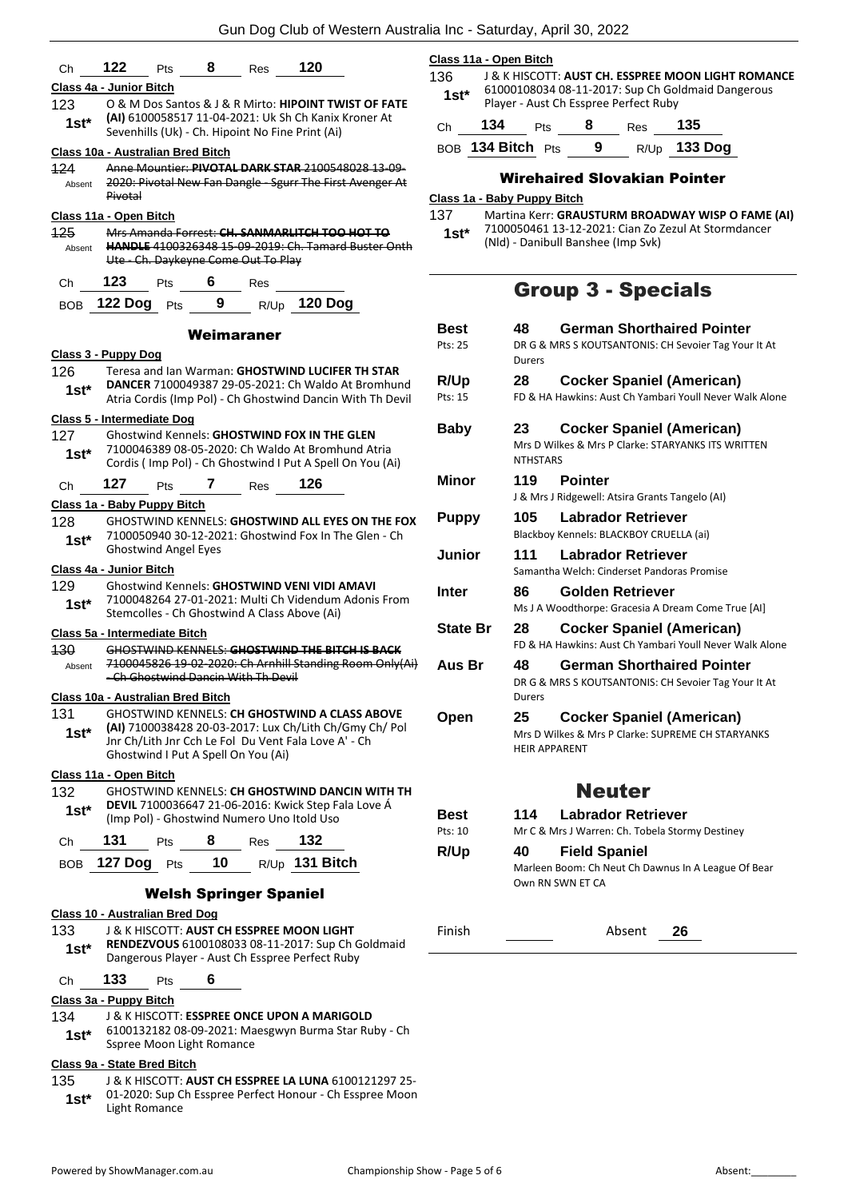|                                                                                                                | Class 11a - Open Bitch                                                                                                                                                                                                                                                                                                                                                                                                                                                                                                                                                                                                                                                                                                                                                                                                                                                                                                                                                                                                                                                                                                                                                                                                                                                                                          |                                                                                            |  |  |
|----------------------------------------------------------------------------------------------------------------|-----------------------------------------------------------------------------------------------------------------------------------------------------------------------------------------------------------------------------------------------------------------------------------------------------------------------------------------------------------------------------------------------------------------------------------------------------------------------------------------------------------------------------------------------------------------------------------------------------------------------------------------------------------------------------------------------------------------------------------------------------------------------------------------------------------------------------------------------------------------------------------------------------------------------------------------------------------------------------------------------------------------------------------------------------------------------------------------------------------------------------------------------------------------------------------------------------------------------------------------------------------------------------------------------------------------|--------------------------------------------------------------------------------------------|--|--|
|                                                                                                                | 136                                                                                                                                                                                                                                                                                                                                                                                                                                                                                                                                                                                                                                                                                                                                                                                                                                                                                                                                                                                                                                                                                                                                                                                                                                                                                                             | <b>J &amp; K HISCOTT: AUS</b>                                                              |  |  |
| O & M Dos Santos & J & R Mirto: <b>HIPOINT TWIST OF FATE</b>                                                   | $1st*$                                                                                                                                                                                                                                                                                                                                                                                                                                                                                                                                                                                                                                                                                                                                                                                                                                                                                                                                                                                                                                                                                                                                                                                                                                                                                                          | 61000108034 08-11<br>Player - Aust Ch Ess                                                  |  |  |
| (AI) 6100058517 11-04-2021: Uk Sh Ch Kanix Kroner At                                                           | 134<br>Ch                                                                                                                                                                                                                                                                                                                                                                                                                                                                                                                                                                                                                                                                                                                                                                                                                                                                                                                                                                                                                                                                                                                                                                                                                                                                                                       | Pts                                                                                        |  |  |
|                                                                                                                | BOB 134 Bitch Pts                                                                                                                                                                                                                                                                                                                                                                                                                                                                                                                                                                                                                                                                                                                                                                                                                                                                                                                                                                                                                                                                                                                                                                                                                                                                                               |                                                                                            |  |  |
| Anne Mountier: PIVOTAL DARK STAR 2100548028 13-09-                                                             |                                                                                                                                                                                                                                                                                                                                                                                                                                                                                                                                                                                                                                                                                                                                                                                                                                                                                                                                                                                                                                                                                                                                                                                                                                                                                                                 |                                                                                            |  |  |
| Pivotal                                                                                                        |                                                                                                                                                                                                                                                                                                                                                                                                                                                                                                                                                                                                                                                                                                                                                                                                                                                                                                                                                                                                                                                                                                                                                                                                                                                                                                                 | Wirehaired                                                                                 |  |  |
|                                                                                                                | 137                                                                                                                                                                                                                                                                                                                                                                                                                                                                                                                                                                                                                                                                                                                                                                                                                                                                                                                                                                                                                                                                                                                                                                                                                                                                                                             | Martina Kerr: GRAU                                                                         |  |  |
| Mrs Amanda Forrest: CH. SANMARLITCH TOO HOT TO                                                                 | $1st*$                                                                                                                                                                                                                                                                                                                                                                                                                                                                                                                                                                                                                                                                                                                                                                                                                                                                                                                                                                                                                                                                                                                                                                                                                                                                                                          | 7100050461 13-12-<br>(Nld) - Danibull Bans                                                 |  |  |
| Ute - Ch. Daykeyne Come Out To Play                                                                            |                                                                                                                                                                                                                                                                                                                                                                                                                                                                                                                                                                                                                                                                                                                                                                                                                                                                                                                                                                                                                                                                                                                                                                                                                                                                                                                 |                                                                                            |  |  |
| 123<br>6<br>Pts<br>Res                                                                                         |                                                                                                                                                                                                                                                                                                                                                                                                                                                                                                                                                                                                                                                                                                                                                                                                                                                                                                                                                                                                                                                                                                                                                                                                                                                                                                                 |                                                                                            |  |  |
| 9<br><b>120 Dog</b><br>Pts<br>R/Up                                                                             |                                                                                                                                                                                                                                                                                                                                                                                                                                                                                                                                                                                                                                                                                                                                                                                                                                                                                                                                                                                                                                                                                                                                                                                                                                                                                                                 | <b>Group</b>                                                                               |  |  |
| Weimaraner                                                                                                     | <b>Best</b>                                                                                                                                                                                                                                                                                                                                                                                                                                                                                                                                                                                                                                                                                                                                                                                                                                                                                                                                                                                                                                                                                                                                                                                                                                                                                                     | 48<br>Geri                                                                                 |  |  |
|                                                                                                                | Pts: 25                                                                                                                                                                                                                                                                                                                                                                                                                                                                                                                                                                                                                                                                                                                                                                                                                                                                                                                                                                                                                                                                                                                                                                                                                                                                                                         | DRG & MRS S K                                                                              |  |  |
| Teresa and Ian Warman: GHOSTWIND LUCIFER TH STAR                                                               |                                                                                                                                                                                                                                                                                                                                                                                                                                                                                                                                                                                                                                                                                                                                                                                                                                                                                                                                                                                                                                                                                                                                                                                                                                                                                                                 | Durers                                                                                     |  |  |
| <b>DANCER 7100049387 29-05-2021: Ch Waldo At Bromhund</b>                                                      | Pts: 15                                                                                                                                                                                                                                                                                                                                                                                                                                                                                                                                                                                                                                                                                                                                                                                                                                                                                                                                                                                                                                                                                                                                                                                                                                                                                                         | 28<br>Coc<br>FD & HA Hawkir                                                                |  |  |
|                                                                                                                |                                                                                                                                                                                                                                                                                                                                                                                                                                                                                                                                                                                                                                                                                                                                                                                                                                                                                                                                                                                                                                                                                                                                                                                                                                                                                                                 |                                                                                            |  |  |
| <b>Ghostwind Kennels: GHOSTWIND FOX IN THE GLEN</b>                                                            | <b>Baby</b>                                                                                                                                                                                                                                                                                                                                                                                                                                                                                                                                                                                                                                                                                                                                                                                                                                                                                                                                                                                                                                                                                                                                                                                                                                                                                                     | 23<br>Coc                                                                                  |  |  |
| 7100046389 08-05-2020: Ch Waldo At Bromhund Atria<br>Cordis (Imp Pol) - Ch Ghostwind I Put A Spell On You (Ai) |                                                                                                                                                                                                                                                                                                                                                                                                                                                                                                                                                                                                                                                                                                                                                                                                                                                                                                                                                                                                                                                                                                                                                                                                                                                                                                                 | Mrs D Wilkes &<br><b>NTHSTARS</b>                                                          |  |  |
| 127<br>126<br>7<br>Pts<br>Res                                                                                  | <b>Minor</b>                                                                                                                                                                                                                                                                                                                                                                                                                                                                                                                                                                                                                                                                                                                                                                                                                                                                                                                                                                                                                                                                                                                                                                                                                                                                                                    | 119<br>Poir<br>J & Mrs J Ridgev                                                            |  |  |
|                                                                                                                |                                                                                                                                                                                                                                                                                                                                                                                                                                                                                                                                                                                                                                                                                                                                                                                                                                                                                                                                                                                                                                                                                                                                                                                                                                                                                                                 | 105<br>Lab                                                                                 |  |  |
| 7100050940 30-12-2021: Ghostwind Fox In The Glen - Ch<br><b>Ghostwind Angel Eyes</b>                           |                                                                                                                                                                                                                                                                                                                                                                                                                                                                                                                                                                                                                                                                                                                                                                                                                                                                                                                                                                                                                                                                                                                                                                                                                                                                                                                 | <b>Blackboy Kenne</b><br>111<br>Labı                                                       |  |  |
|                                                                                                                |                                                                                                                                                                                                                                                                                                                                                                                                                                                                                                                                                                                                                                                                                                                                                                                                                                                                                                                                                                                                                                                                                                                                                                                                                                                                                                                 | Samantha Welc                                                                              |  |  |
| <b>Ghostwind Kennels: GHOSTWIND VENI VIDI AMAVI</b>                                                            | <b>Inter</b>                                                                                                                                                                                                                                                                                                                                                                                                                                                                                                                                                                                                                                                                                                                                                                                                                                                                                                                                                                                                                                                                                                                                                                                                                                                                                                    | 86<br>Golo                                                                                 |  |  |
| Stemcolles - Ch Ghostwind A Class Above (Ai)                                                                   |                                                                                                                                                                                                                                                                                                                                                                                                                                                                                                                                                                                                                                                                                                                                                                                                                                                                                                                                                                                                                                                                                                                                                                                                                                                                                                                 | Ms J A Woodtho                                                                             |  |  |
|                                                                                                                |                                                                                                                                                                                                                                                                                                                                                                                                                                                                                                                                                                                                                                                                                                                                                                                                                                                                                                                                                                                                                                                                                                                                                                                                                                                                                                                 | 28<br>Coc<br>FD & HA Hawkir                                                                |  |  |
|                                                                                                                |                                                                                                                                                                                                                                                                                                                                                                                                                                                                                                                                                                                                                                                                                                                                                                                                                                                                                                                                                                                                                                                                                                                                                                                                                                                                                                                 | 48<br>Geri                                                                                 |  |  |
| -Ch Ghostwind Dancin With Th Devil                                                                             |                                                                                                                                                                                                                                                                                                                                                                                                                                                                                                                                                                                                                                                                                                                                                                                                                                                                                                                                                                                                                                                                                                                                                                                                                                                                                                                 | DR G & MRS S K                                                                             |  |  |
|                                                                                                                |                                                                                                                                                                                                                                                                                                                                                                                                                                                                                                                                                                                                                                                                                                                                                                                                                                                                                                                                                                                                                                                                                                                                                                                                                                                                                                                 | <b>Durers</b>                                                                              |  |  |
|                                                                                                                | Open                                                                                                                                                                                                                                                                                                                                                                                                                                                                                                                                                                                                                                                                                                                                                                                                                                                                                                                                                                                                                                                                                                                                                                                                                                                                                                            | 25<br>Coc                                                                                  |  |  |
| Mrs D Wilkes &<br>Jnr Ch/Lith Jnr Cch Le Fol Du Vent Fala Love A' - Ch<br><b>HEIR APPARENT</b>                 |                                                                                                                                                                                                                                                                                                                                                                                                                                                                                                                                                                                                                                                                                                                                                                                                                                                                                                                                                                                                                                                                                                                                                                                                                                                                                                                 |                                                                                            |  |  |
|                                                                                                                |                                                                                                                                                                                                                                                                                                                                                                                                                                                                                                                                                                                                                                                                                                                                                                                                                                                                                                                                                                                                                                                                                                                                                                                                                                                                                                                 |                                                                                            |  |  |
| GHOSTWIND KENNELS: <b>CH GHOSTWIND DANCIN WITH TH</b>                                                          |                                                                                                                                                                                                                                                                                                                                                                                                                                                                                                                                                                                                                                                                                                                                                                                                                                                                                                                                                                                                                                                                                                                                                                                                                                                                                                                 |                                                                                            |  |  |
| <b>DEVIL 7100036647 21-06-2016: Kwick Step Fala Love Á</b>                                                     | Best                                                                                                                                                                                                                                                                                                                                                                                                                                                                                                                                                                                                                                                                                                                                                                                                                                                                                                                                                                                                                                                                                                                                                                                                                                                                                                            | 114<br>Lab                                                                                 |  |  |
|                                                                                                                | Pts: 10                                                                                                                                                                                                                                                                                                                                                                                                                                                                                                                                                                                                                                                                                                                                                                                                                                                                                                                                                                                                                                                                                                                                                                                                                                                                                                         | Mr C & Mrs J W                                                                             |  |  |
|                                                                                                                | R/Up                                                                                                                                                                                                                                                                                                                                                                                                                                                                                                                                                                                                                                                                                                                                                                                                                                                                                                                                                                                                                                                                                                                                                                                                                                                                                                            | 40<br>Field                                                                                |  |  |
|                                                                                                                |                                                                                                                                                                                                                                                                                                                                                                                                                                                                                                                                                                                                                                                                                                                                                                                                                                                                                                                                                                                                                                                                                                                                                                                                                                                                                                                 | Marleen Boom:<br>Own RN SWN E                                                              |  |  |
| <b>Welsh Springer Spaniel</b>                                                                                  |                                                                                                                                                                                                                                                                                                                                                                                                                                                                                                                                                                                                                                                                                                                                                                                                                                                                                                                                                                                                                                                                                                                                                                                                                                                                                                                 |                                                                                            |  |  |
|                                                                                                                |                                                                                                                                                                                                                                                                                                                                                                                                                                                                                                                                                                                                                                                                                                                                                                                                                                                                                                                                                                                                                                                                                                                                                                                                                                                                                                                 |                                                                                            |  |  |
| RENDEZVOUS 6100108033 08-11-2017: Sup Ch Goldmaid                                                              | Finish                                                                                                                                                                                                                                                                                                                                                                                                                                                                                                                                                                                                                                                                                                                                                                                                                                                                                                                                                                                                                                                                                                                                                                                                                                                                                                          |                                                                                            |  |  |
| 133<br>6<br>Pts                                                                                                |                                                                                                                                                                                                                                                                                                                                                                                                                                                                                                                                                                                                                                                                                                                                                                                                                                                                                                                                                                                                                                                                                                                                                                                                                                                                                                                 |                                                                                            |  |  |
|                                                                                                                |                                                                                                                                                                                                                                                                                                                                                                                                                                                                                                                                                                                                                                                                                                                                                                                                                                                                                                                                                                                                                                                                                                                                                                                                                                                                                                                 |                                                                                            |  |  |
| J & K HISCOTT: <b>ESSPREE ONCE UPON A MARIGOLD</b><br>6100132182 08-09-2021: Maesgwyn Burma Star Ruby - Ch     |                                                                                                                                                                                                                                                                                                                                                                                                                                                                                                                                                                                                                                                                                                                                                                                                                                                                                                                                                                                                                                                                                                                                                                                                                                                                                                                 |                                                                                            |  |  |
|                                                                                                                |                                                                                                                                                                                                                                                                                                                                                                                                                                                                                                                                                                                                                                                                                                                                                                                                                                                                                                                                                                                                                                                                                                                                                                                                                                                                                                                 |                                                                                            |  |  |
|                                                                                                                | 120<br>122<br>8<br>Pts<br>Res<br>Class 4a - Junior Bitch<br>Sevenhills (Uk) - Ch. Hipoint No Fine Print (Ai)<br>Class 10a - Australian Bred Bitch<br>2020: Pivotal New Fan Dangle - Sgurr The First Avenger At<br>Class 11a - Open Bitch<br><b>HANDLE 4100326348 15-09-2019: Ch. Tamard Buster Onth</b><br>122 Dog<br>Class 3 - Puppy Dog<br>Atria Cordis (Imp Pol) - Ch Ghostwind Dancin With Th Devil<br><b>Class 5 - Intermediate Dog</b><br>Class 1a - Baby Puppy Bitch<br><b>GHOSTWIND KENNELS: GHOSTWIND ALL EYES ON THE FOX</b><br>Class 4a - Junior Bitch<br>7100048264 27-01-2021: Multi Ch Videndum Adonis From<br>Class 5a - Intermediate Bitch<br>GHOSTWIND KENNELS: GHOSTWIND THE BITCH IS BACK<br>7100045826 19-02-2020: Ch Arnhill Standing Room Only(Ai)<br>Class 10a - Australian Bred Bitch<br>GHOSTWIND KENNELS: CH GHOSTWIND A CLASS ABOVE<br>(AI) 7100038428 20-03-2017: Lux Ch/Lith Ch/Gmy Ch/ Pol<br>Ghostwind I Put A Spell On You (Ai)<br>Class 11a - Open Bitch<br>(Imp Pol) - Ghostwind Numero Uno Itold Uso<br>131<br>8<br>132<br>Res<br><b>Pts</b><br>10 <sup>1</sup><br>$R/Up$ 131 Bitch<br><b>127 Dog</b> Pts<br>Class 10 - Australian Bred Dog<br>J & K HISCOTT: <b>AUST CH ESSPREE MOON LIGHT</b><br>Dangerous Player - Aust Ch Esspree Perfect Ruby<br>Class 3a - Puppy Bitch | Class 1a - Baby Puppy Bitch<br>R/Up<br><b>Puppy</b><br>Junior<br><b>State Br</b><br>Aus Br |  |  |

### **Class 9a - State Bred Bitch**

135 J & K HISCOTT: **AUST CH ESSPREE LA LUNA** 6100121297 25- 01-2020: Sup Ch Esspree Perfect Honour - Ch Esspree Moon **1st**\* 01-2020: Sup C<br>Light Romance

**T CH. ESSPREE MOON LIGHT ROMANCE** 61000108034 08-11-2017: Sup Ch Goldmaid Dangerous  $\frac{1}{2}$ pree Perfect Ruby

|     | <b>AOA DIAL</b> |  | _ | $\mathbf{A}$ |
|-----|-----------------|--|---|--------------|
| C.h | - 134           |  |   | -135         |

# BOB **134 Bitch** Pts **9** R/Up **133 Dog**

### **Slovakian Pointer**

**JSTURM BROADWAY WISP O FAME (AI)** -2021: Cian Zo Zezul At Stormdancer  $B$ shee (Imp Svk)

# 3 - Specials

| Best<br>Pts: 25 | 48<br>Durers               | <b>German Shorthaired Pointer</b><br>DR G & MRS S KOUTSANTONIS: CH Sevoier Tag Your It At       |
|-----------------|----------------------------|-------------------------------------------------------------------------------------------------|
| R/Up<br>Pts: 15 | 28                         | <b>Cocker Spaniel (American)</b><br>FD & HA Hawkins: Aust Ch Yambari Youll Never Walk Alone     |
| Baby            | 23<br><b>NTHSTARS</b>      | <b>Cocker Spaniel (American)</b><br>Mrs D Wilkes & Mrs P Clarke: STARYANKS ITS WRITTEN          |
| Minor           | 119                        | <b>Pointer</b><br>J & Mrs J Ridgewell: Atsira Grants Tangelo (AI)                               |
| <b>Puppy</b>    | 105                        | <b>Labrador Retriever</b><br>Blackboy Kennels: BLACKBOY CRUELLA (ai)                            |
| Junior          | 111                        | <b>Labrador Retriever</b><br>Samantha Welch: Cinderset Pandoras Promise                         |
| Inter           | 86                         | <b>Golden Retriever</b><br>Ms J A Woodthorpe: Gracesia A Dream Come True [AI]                   |
| State Br        | 28                         | <b>Cocker Spaniel (American)</b><br>FD & HA Hawkins: Aust Ch Yambari Youll Never Walk Alone     |
| Aus Br          | 48<br>Durers               | <b>German Shorthaired Pointer</b><br>DR G & MRS S KOUTSANTONIS: CH Sevoier Tag Your It At       |
| Open            | 25<br><b>HEIR APPARENT</b> | <b>Cocker Spaniel (American)</b><br>Mrs D Wilkes & Mrs P Clarke: SUPREME CH STARYANKS           |
|                 |                            | <b>Neuter</b>                                                                                   |
| Best<br>Pts: 10 | 114                        | <b>Labrador Retriever</b><br>Mr C & Mrs J Warren: Ch. Tobela Stormy Destiney                    |
| R/Up            | 40                         | <b>Field Spaniel</b><br>Marleen Boom: Ch Neut Ch Dawnus In A League Of Bear<br>Own RN SWN ET CA |

Absent 26